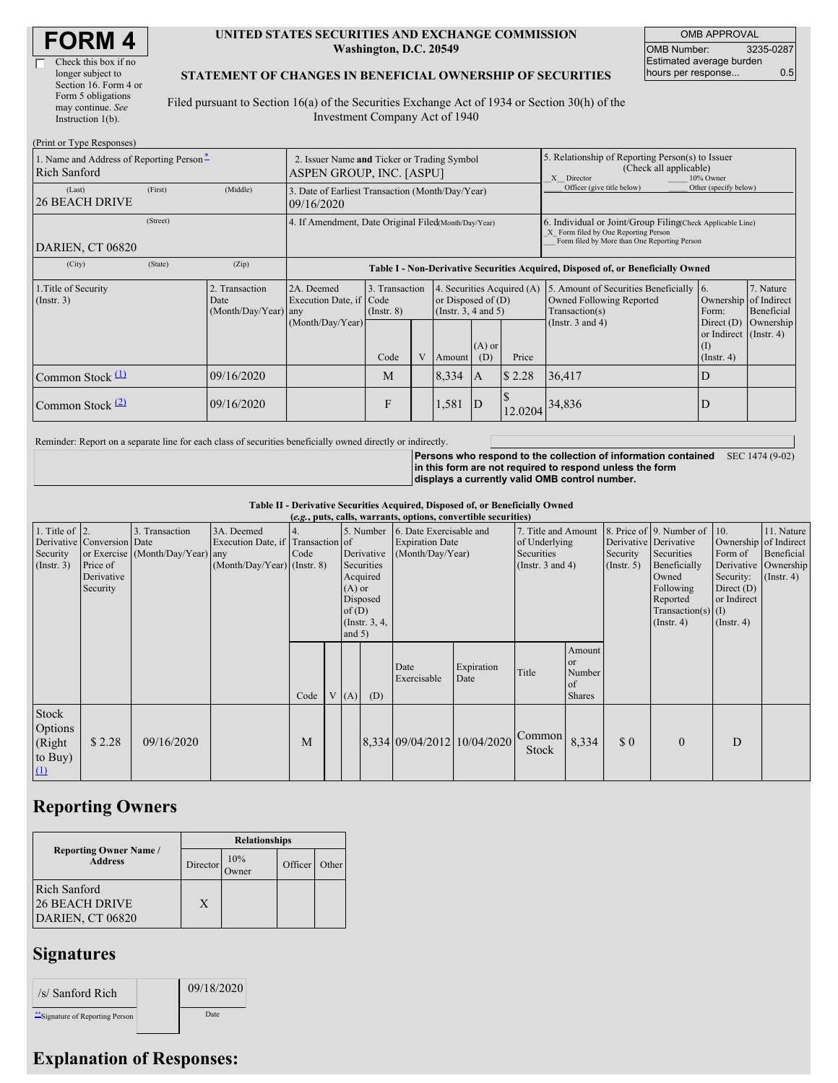| <b>FORM4</b> |
|--------------|
|--------------|

 $(D_{\text{wint on}}$  Type  $D$ 

#### **UNITED STATES SECURITIES AND EXCHANGE COMMISSION Washington, D.C. 20549**

OMB APPROVAL OMB Number: 3235-0287 Estimated average burden hours per response... 0.5

#### **STATEMENT OF CHANGES IN BENEFICIAL OWNERSHIP OF SECURITIES**

Filed pursuant to Section 16(a) of the Securities Exchange Act of 1934 or Section 30(h) of the Investment Company Act of 1940

| $(1 \text{ min of 1 ypc Rcsponses})$                                                                                                |          |                                                |                                                                                  |                                   |   |                                                                                |                                                                                                       |                                                                                                                                                    |                                                                                       |                                                                   |                                                  |
|-------------------------------------------------------------------------------------------------------------------------------------|----------|------------------------------------------------|----------------------------------------------------------------------------------|-----------------------------------|---|--------------------------------------------------------------------------------|-------------------------------------------------------------------------------------------------------|----------------------------------------------------------------------------------------------------------------------------------------------------|---------------------------------------------------------------------------------------|-------------------------------------------------------------------|--------------------------------------------------|
| 1. Name and Address of Reporting Person-<br>2. Issuer Name and Ticker or Trading Symbol<br>Rich Sanford<br>ASPEN GROUP, INC. [ASPU] |          |                                                |                                                                                  |                                   |   |                                                                                | 5. Relationship of Reporting Person(s) to Issuer<br>(Check all applicable)<br>X Director<br>10% Owner |                                                                                                                                                    |                                                                                       |                                                                   |                                                  |
| (Last)<br><b>26 BEACH DRIVE</b>                                                                                                     | (First)  | (Middle)                                       | 3. Date of Earliest Transaction (Month/Day/Year)<br>09/16/2020                   |                                   |   |                                                                                |                                                                                                       |                                                                                                                                                    | Officer (give title below)                                                            | Other (specify below)                                             |                                                  |
| DARIEN, CT 06820                                                                                                                    | (Street) |                                                | 4. If Amendment, Date Original Filed(Month/Day/Year)                             |                                   |   |                                                                                |                                                                                                       | 6. Individual or Joint/Group Filing Check Applicable Line)<br>X Form filed by One Reporting Person<br>Form filed by More than One Reporting Person |                                                                                       |                                                                   |                                                  |
| (City)                                                                                                                              | (State)  | (Zip)                                          | Table I - Non-Derivative Securities Acquired, Disposed of, or Beneficially Owned |                                   |   |                                                                                |                                                                                                       |                                                                                                                                                    |                                                                                       |                                                                   |                                                  |
| 1. Title of Security<br>$($ Instr. 3 $)$                                                                                            |          | 2. Transaction<br>Date<br>(Month/Day/Year) any | 2A. Deemed<br>Execution Date, if Code                                            | 3. Transaction<br>$($ Instr. $8)$ |   | 4. Securities Acquired (A)<br>or Disposed of $(D)$<br>(Instr. $3, 4$ and $5$ ) |                                                                                                       |                                                                                                                                                    | 5. Amount of Securities Beneficially 6.<br>Owned Following Reported<br>Transaction(s) | Form:                                                             | 7. Nature<br>Ownership of Indirect<br>Beneficial |
|                                                                                                                                     |          |                                                | (Month/Day/Year)                                                                 | Code                              | V | Amount                                                                         | $(A)$ or<br>(D)                                                                                       | Price                                                                                                                                              | (Instr. $3$ and $4$ )                                                                 | Direct $(D)$<br>or Indirect (Instr. 4)<br>(I)<br>$($ Instr. 4 $)$ | Ownership                                        |
| Common Stock $(1)$                                                                                                                  |          | 09/16/2020                                     |                                                                                  | M                                 |   | 8,334                                                                          | IA.                                                                                                   | \$2.28                                                                                                                                             | 36,417                                                                                | D                                                                 |                                                  |
| Common Stock $(2)$                                                                                                                  |          | 09/16/2020                                     |                                                                                  | F                                 |   | 1,581                                                                          | ID                                                                                                    | 12.0204                                                                                                                                            | 34,836                                                                                | D                                                                 |                                                  |

Reminder: Report on a separate line for each class of securities beneficially owned directly or indirectly.

**Persons who respond to the collection of information contained** SEC 1474 (9-02) **in this form are not required to respond unless the form displays a currently valid OMB control number.**

**Table II - Derivative Securities Acquired, Disposed of, or Beneficially Owned**

|                                                        | (e.g., puts, calls, warrants, options, convertible securities)   |                                                    |                                                                                  |      |  |                                  |                                                                                  |                                                                       |                             |                                                                             |                                                  |                                                  |                                                                                                                                      |                                                                                                                 |                                                                      |
|--------------------------------------------------------|------------------------------------------------------------------|----------------------------------------------------|----------------------------------------------------------------------------------|------|--|----------------------------------|----------------------------------------------------------------------------------|-----------------------------------------------------------------------|-----------------------------|-----------------------------------------------------------------------------|--------------------------------------------------|--------------------------------------------------|--------------------------------------------------------------------------------------------------------------------------------------|-----------------------------------------------------------------------------------------------------------------|----------------------------------------------------------------------|
| 1. Title of $\vert$ 2.<br>Security<br>$($ Instr. 3 $)$ | Derivative Conversion Date<br>Price of<br>Derivative<br>Security | 3. Transaction<br>or Exercise (Month/Day/Year) any | 3A. Deemed<br>Execution Date, if Transaction of<br>$(Month/Day/Year)$ (Instr. 8) | Code |  | $(A)$ or<br>of $(D)$<br>and $5)$ | 5. Number<br>Derivative<br>Securities<br>Acquired<br>Disposed<br>(Instr. $3, 4,$ | 6. Date Exercisable and<br><b>Expiration Date</b><br>(Month/Day/Year) |                             | 7. Title and Amount<br>of Underlying<br>Securities<br>(Instr. $3$ and $4$ ) |                                                  | Derivative Derivative<br>Security<br>(Insert. 5) | 8. Price of 9. Number of<br>Securities<br>Beneficially<br>Owned<br>Following<br>Reported<br>Transaction(s) $(I)$<br>$($ Instr. 4 $)$ | $\vert$ 10.<br>Ownership of Indirect<br>Form of<br>Security:<br>Direct $(D)$<br>or Indirect<br>$($ Instr. 4 $)$ | 11. Nature<br>Beneficial<br>Derivative Ownership<br>$($ Instr. 4 $)$ |
|                                                        |                                                                  |                                                    |                                                                                  | Code |  | V(A)                             | (D)                                                                              | Date<br>Exercisable                                                   | Expiration<br>Date          | Title                                                                       | Amount<br>or or<br>Number<br>of<br><b>Shares</b> |                                                  |                                                                                                                                      |                                                                                                                 |                                                                      |
| Stock<br>Options<br>(Right<br>to Buy)<br>$\Omega$      | \$2.28                                                           | 09/16/2020                                         |                                                                                  | M    |  |                                  |                                                                                  |                                                                       | 8,334 09/04/2012 10/04/2020 | Common<br>Stock                                                             | 8,334                                            | $\Omega$                                         | $\mathbf{0}$                                                                                                                         | D                                                                                                               |                                                                      |

# **Reporting Owners**

|                                                                  | <b>Relationships</b> |               |         |       |  |  |  |  |
|------------------------------------------------------------------|----------------------|---------------|---------|-------|--|--|--|--|
| <b>Reporting Owner Name /</b><br><b>Address</b>                  | Director             | 10%<br>Dwner) | Officer | Other |  |  |  |  |
| <b>Rich Sanford</b><br><b>26 BEACH DRIVE</b><br>DARIEN, CT 06820 | X                    |               |         |       |  |  |  |  |

### **Signatures**

| /s/ Sanford Rich               | 09/18/2020 |
|--------------------------------|------------|
| "Signature of Reporting Person | Date       |

# **Explanation of Responses:**